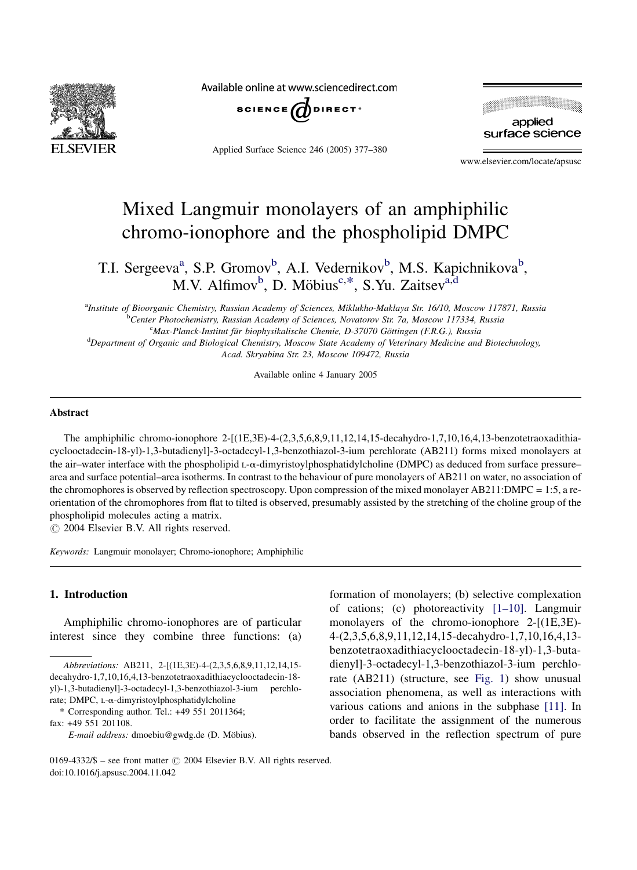

Available online at www.sciencedirect.com



Applied Surface Science 246 (2005) 377–380



www.elsevier.com/locate/apsusc

# Mixed Langmuir monolayers of an amphiphilic chromo-ionophore and the phospholipid DMPC

T.I. Sergeeva<sup>a</sup>, S.P. Gromov<sup>b</sup>, A.I. Vedernikov<sup>b</sup>, M.S. Kapichnikova<sup>b</sup>, M.V. Alfimov<sup>b</sup>, D. Möbius<sup>c,\*</sup>, S.Yu. Zaitsev<sup>a,d</sup>

a Institute of Bioorganic Chemistry, Russian Academy of Sciences, Miklukho-Maklaya Str. 16/10, Moscow 117871, Russia **bCenter Photochemistry, Russian Academy of Sciences, Novatorov Str. 7a, Moscow 117334, Russia** <sup>c</sup>Max-Planck-Institut für biophysikalische Chemie, D-37070 Göttingen (F.R.G.), Russia <sup>d</sup>Department of Organic and Biological Chemistry, Moscow State Academy of Veterinary Medicine and Biotechnology,

Acad. Skryabina Str. 23, Moscow 109472, Russia

Available online 4 January 2005

## Abstract

The amphiphilic chromo-ionophore 2-[(1E,3E)-4-(2,3,5,6,8,9,11,12,14,15-decahydro-1,7,10,16,4,13-benzotetraoxadithiacyclooctadecin-18-yl)-1,3-butadienyl]-3-octadecyl-1,3-benzothiazol-3-ium perchlorate (AB211) forms mixed monolayers at the air–water interface with the phospholipid  $L-\alpha$ -dimyristoylphosphatidylcholine (DMPC) as deduced from surface pressure– area and surface potential–area isotherms. In contrast to the behaviour of pure monolayers of AB211 on water, no association of the chromophores is observed by reflection spectroscopy. Upon compression of the mixed monolayer AB211:DMPC = 1:5, a reorientation of the chromophores from flat to tilted is observed, presumably assisted by the stretching of the choline group of the phospholipid molecules acting a matrix.

 $\odot$  2004 Elsevier B.V. All rights reserved.

Keywords: Langmuir monolayer; Chromo-ionophore; Amphiphilic

#### 1. Introduction

Amphiphilic chromo-ionophores are of particular interest since they combine three functions: (a)

fax: +49 551 201108.

formation of monolayers; (b) selective complexation of cations; (c) photoreactivity [\[1–10\].](#page-3-0) Langmuir monolayers of the chromo-ionophore 2-[(1E,3E)- 4-(2,3,5,6,8,9,11,12,14,15-decahydro-1,7,10,16,4,13 benzotetraoxadithiacyclooctadecin-18-yl)-1,3-butadienyl]-3-octadecyl-1,3-benzothiazol-3-ium perchlorate (AB211) (structure, see [Fig. 1\)](#page-2-0) show unusual association phenomena, as well as interactions with various cations and anions in the subphase [\[11\].](#page-3-0) In order to facilitate the assignment of the numerous bands observed in the reflection spectrum of pure

Abbreviations: AB211, 2-[(1E,3E)-4-(2,3,5,6,8,9,11,12,14,15 decahydro-1,7,10,16,4,13-benzotetraoxadithiacyclooctadecin-18 yl)-1,3-butadienyl]-3-octadecyl-1,3-benzothiazol-3-ium perchlorate; DMPC, L-a-dimyristoylphosphatidylcholine

<sup>\*</sup> Corresponding author. Tel.: +49 551 2011364;

E-mail address: dmoebiu@gwdg.de (D. Möbius).

<sup>0169-4332/\$ –</sup> see front matter  $\odot$  2004 Elsevier B.V. All rights reserved. doi:10.1016/j.apsusc.2004.11.042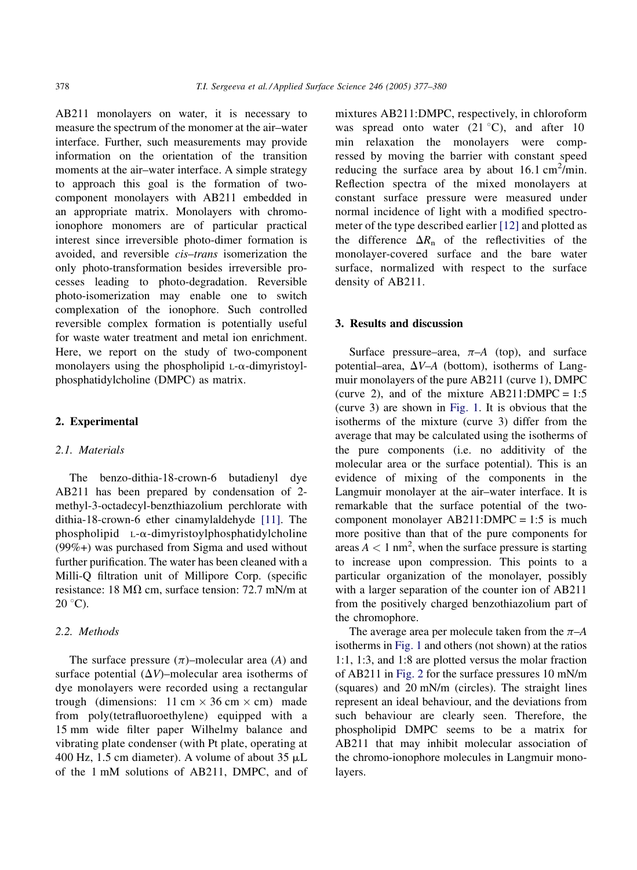AB211 monolayers on water, it is necessary to measure the spectrum of the monomer at the air–water interface. Further, such measurements may provide information on the orientation of the transition moments at the air–water interface. A simple strategy to approach this goal is the formation of twocomponent monolayers with AB211 embedded in an appropriate matrix. Monolayers with chromoionophore monomers are of particular practical interest since irreversible photo-dimer formation is avoided, and reversible cis–trans isomerization the only photo-transformation besides irreversible processes leading to photo-degradation. Reversible photo-isomerization may enable one to switch complexation of the ionophore. Such controlled reversible complex formation is potentially useful for waste water treatment and metal ion enrichment. Here, we report on the study of two-component monolayers using the phospholipid L-a-dimyristoylphosphatidylcholine (DMPC) as matrix.

### 2. Experimental

## 2.1. Materials

The benzo-dithia-18-crown-6 butadienyl dye AB211 has been prepared by condensation of 2 methyl-3-octadecyl-benzthiazolium perchlorate with dithia-18-crown-6 ether cinamylaldehyde [\[11\].](#page-3-0) The  $phospholipid$  L- $\alpha$ -dimyristoylphosphatidylcholine (99%+) was purchased from Sigma and used without further purification. The water has been cleaned with a Milli-Q filtration unit of Millipore Corp. (specific resistance: 18 M $\Omega$  cm, surface tension: 72.7 mN/m at  $20^{\circ}$ C).

## 2.2. Methods

The surface pressure  $(\pi)$ –molecular area (A) and surface potential  $(\Delta V)$ –molecular area isotherms of dye monolayers were recorded using a rectangular trough (dimensions:  $11 \text{ cm} \times 36 \text{ cm} \times \text{ cm}$ ) made from poly(tetrafluoroethylene) equipped with a 15 mm wide filter paper Wilhelmy balance and vibrating plate condenser (with Pt plate, operating at 400 Hz, 1.5 cm diameter). A volume of about  $35 \mu L$ of the 1 mM solutions of AB211, DMPC, and of mixtures AB211:DMPC, respectively, in chloroform was spread onto water  $(21 \degree C)$ , and after 10 min relaxation the monolayers were compressed by moving the barrier with constant speed reducing the surface area by about  $16.1 \text{ cm}^2/\text{min}$ . Reflection spectra of the mixed monolayers at constant surface pressure were measured under normal incidence of light with a modified spectrometer of the type described earlier [\[12\]](#page-3-0) and plotted as the difference  $\Delta R_n$  of the reflectivities of the monolayer-covered surface and the bare water surface, normalized with respect to the surface density of AB211.

#### 3. Results and discussion

Surface pressure–area,  $\pi$ –A (top), and surface potential–area,  $\Delta V$ –A (bottom), isotherms of Langmuir monolayers of the pure AB211 (curve 1), DMPC (curve 2), and of the mixture  $AB211:DMPC = 1:5$ (curve 3) are shown in [Fig. 1](#page-2-0). It is obvious that the isotherms of the mixture (curve 3) differ from the average that may be calculated using the isotherms of the pure components (i.e. no additivity of the molecular area or the surface potential). This is an evidence of mixing of the components in the Langmuir monolayer at the air–water interface. It is remarkable that the surface potential of the twocomponent monolayer  $AB211:DMPC = 1:5$  is much more positive than that of the pure components for areas  $A < 1$  nm<sup>2</sup>, when the surface pressure is starting to increase upon compression. This points to a particular organization of the monolayer, possibly with a larger separation of the counter ion of AB211 from the positively charged benzothiazolium part of the chromophore.

The average area per molecule taken from the  $\pi$ –A isotherms in [Fig. 1](#page-2-0) and others (not shown) at the ratios 1:1, 1:3, and 1:8 are plotted versus the molar fraction of AB211 in [Fig. 2](#page-2-0) for the surface pressures 10 mN/m (squares) and 20 mN/m (circles). The straight lines represent an ideal behaviour, and the deviations from such behaviour are clearly seen. Therefore, the phospholipid DMPC seems to be a matrix for AB211 that may inhibit molecular association of the chromo-ionophore molecules in Langmuir monolayers.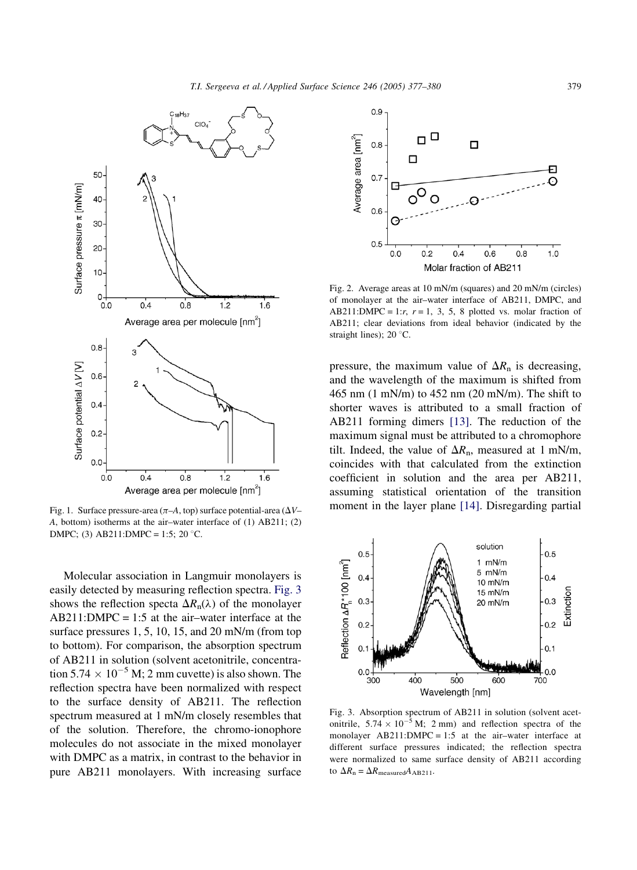<span id="page-2-0"></span>

Fig. 1. Surface pressure-area ( $\pi$ –A, top) surface potential-area ( $\Delta V$ – A, bottom) isotherms at the air–water interface of (1) AB211; (2) DMPC; (3) AB211:DMPC = 1:5; 20 °C.

Molecular association in Langmuir monolayers is easily detected by measuring reflection spectra. Fig. 3 shows the reflection specta  $\Delta R_n(\lambda)$  of the monolayer  $AB211:DMPC = 1:5$  at the air-water interface at the surface pressures 1, 5, 10, 15, and 20 mN/m (from top to bottom). For comparison, the absorption spectrum of AB211 in solution (solvent acetonitrile, concentration  $5.74 \times 10^{-5}$  M; 2 mm cuvette) is also shown. The reflection spectra have been normalized with respect to the surface density of AB211. The reflection spectrum measured at 1 mN/m closely resembles that of the solution. Therefore, the chromo-ionophore molecules do not associate in the mixed monolayer with DMPC as a matrix, in contrast to the behavior in pure AB211 monolayers. With increasing surface



Fig. 2. Average areas at 10 mN/m (squares) and 20 mN/m (circles) of monolayer at the air–water interface of AB211, DMPC, and AB211:DMPC = 1: $r$ ,  $r = 1$ , 3, 5, 8 plotted vs. molar fraction of AB211; clear deviations from ideal behavior (indicated by the straight lines); 20 $\degree$ C.

pressure, the maximum value of  $\Delta R$ <sub>n</sub> is decreasing, and the wavelength of the maximum is shifted from 465 nm (1 mN/m) to 452 nm (20 mN/m). The shift to shorter waves is attributed to a small fraction of AB211 forming dimers [\[13\].](#page-3-0) The reduction of the maximum signal must be attributed to a chromophore tilt. Indeed, the value of  $\Delta R_n$ , measured at 1 mN/m, coincides with that calculated from the extinction coefficient in solution and the area per AB211, assuming statistical orientation of the transition moment in the layer plane [\[14\].](#page-3-0) Disregarding partial



Fig. 3. Absorption spectrum of AB211 in solution (solvent acetonitrile,  $5.74 \times 10^{-5}$  M; 2 mm) and reflection spectra of the monolayer  $AB211:DMPC = 1:5$  at the air-water interface at different surface pressures indicated; the reflection spectra were normalized to same surface density of AB211 according to  $\Delta R_{\text{n}} = \Delta R_{\text{measured}} A_{\text{AB211}}$ .